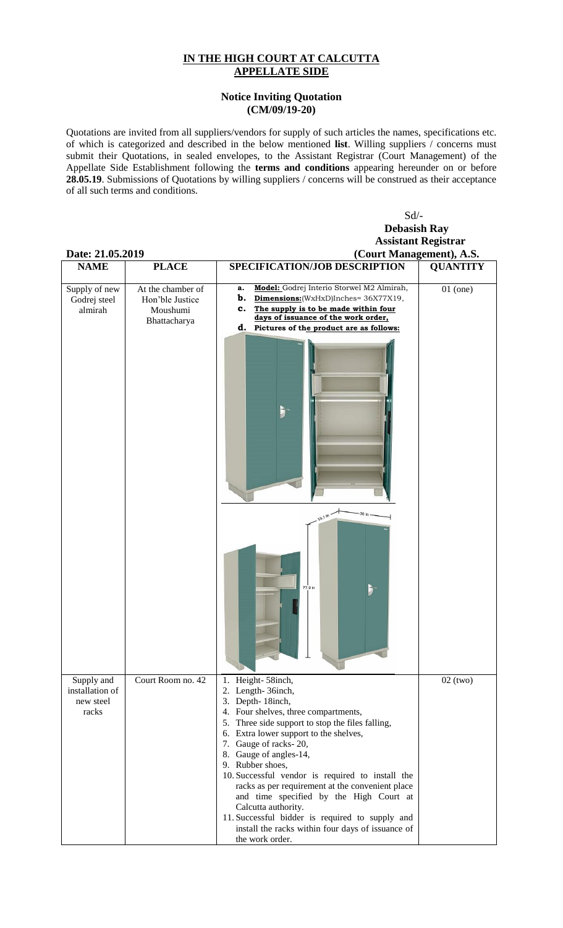## **IN THE HIGH COURT AT CALCUTTA APPELLATE SIDE**

## **Notice Inviting Quotation (CM/09/19-20)**

Quotations are invited from all suppliers/vendors for supply of such articles the names, specifications etc. of which is categorized and described in the below mentioned **list**. Willing suppliers / concerns must submit their Quotations, in sealed envelopes, to the Assistant Registrar (Court Management) of the Appellate Side Establishment following the **terms and conditions** appearing hereunder on or before **28.05.19**. Submissions of Quotations by willing suppliers / concerns will be construed as their acceptance of all such terms and conditions.

| Date: 21.05.2019                                    |                                                                  | $Sd$ /-<br><b>Debasish Ray</b><br><b>Assistant Registrar</b><br>(Court Management), A.S.                                                                                                                                                                                                                                                                                                                                                                                                                                                                                     |                 |
|-----------------------------------------------------|------------------------------------------------------------------|------------------------------------------------------------------------------------------------------------------------------------------------------------------------------------------------------------------------------------------------------------------------------------------------------------------------------------------------------------------------------------------------------------------------------------------------------------------------------------------------------------------------------------------------------------------------------|-----------------|
| <b>NAME</b>                                         | <b>PLACE</b>                                                     | <b>SPECIFICATION/JOB DESCRIPTION</b>                                                                                                                                                                                                                                                                                                                                                                                                                                                                                                                                         | <b>QUANTITY</b> |
| Supply of new<br>Godrej steel<br>almirah            | At the chamber of<br>Hon'ble Justice<br>Moushumi<br>Bhattacharya | Model: Godrej Interio Storwel M2 Almirah,<br>a.<br>b.<br>Dimensions: (WxHxD)Inches= 36X77X19,<br>The supply is to be made within four<br>c.<br>days of issuance of the work order,<br>d. Pictures of the product are as follows:                                                                                                                                                                                                                                                                                                                                             | $01$ (one)      |
|                                                     |                                                                  | Þ.                                                                                                                                                                                                                                                                                                                                                                                                                                                                                                                                                                           |                 |
|                                                     |                                                                  | 36 in<br>ni 1.er<br>77.9 in<br>$\blacktriangleright$                                                                                                                                                                                                                                                                                                                                                                                                                                                                                                                         |                 |
| Supply and<br>installation of<br>new steel<br>racks | Court Room no. 42                                                | 1. Height-58inch,<br>2. Length-36inch,<br>3. Depth-18inch,<br>4. Four shelves, three compartments,<br>5. Three side support to stop the files falling,<br>6. Extra lower support to the shelves,<br>7. Gauge of racks-20,<br>8. Gauge of angles-14,<br>9. Rubber shoes,<br>10. Successful vendor is required to install the<br>racks as per requirement at the convenient place<br>and time specified by the High Court at<br>Calcutta authority.<br>11. Successful bidder is required to supply and<br>install the racks within four days of issuance of<br>the work order. | $02$ (two)      |